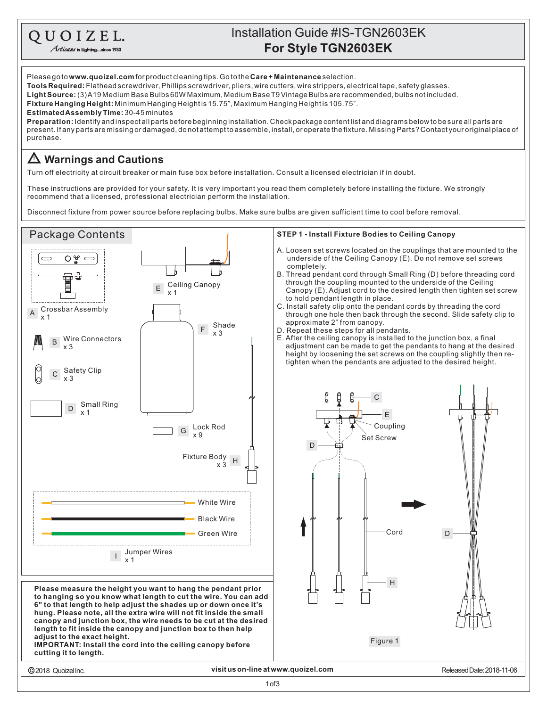## **For Style TGN2603EK** Installation Guide #IS-TGN2603EK

Please go to **www.quoizel.com** for product cleaning tips. Go to the **Care + Maintenance** selection. **Tools Required:** Flathead screwdriver, Phillips screwdriver, pliers, wire cutters, wire strippers, electrical tape, safety glasses.

**LightSource:** (3)A19MediumBaseBulbs60WMaximum,MediumBaseT9VintageBulbsarerecommended,bulbsnotincluded.

**Fixture Hanging Height:** Minimum Hanging Heightis 15.75", Maximum Hanging Heightis 105.75".

**EstimatedAssemblyTime:** 30-45minutes

QUOIZEL. Artisans in Lighting...sin

present. If any parts are missing or damaged, do not attempt to assemble, install, or operate the fixture. Missing Parts? Contact your original place of purchase. **Preparation:** Identifyandinspectallpartsbeforebeginninginstallation.Checkpackagecontentlistanddiagramsbelowtobesureallpartsare

## **Warnings and Cautions**

Turn off electricity at circuit breaker or main fuse box before installation. Consult a licensed electrician if in doubt.

These instructions are provided for your safety. It is very important you read them completely before installing the fixture. We strongly recommend that a licensed, professional electrician perform the installation.

Disconnect fixture from power source before replacing bulbs. Make sure bulbs are given sufficient time to cool before removal.

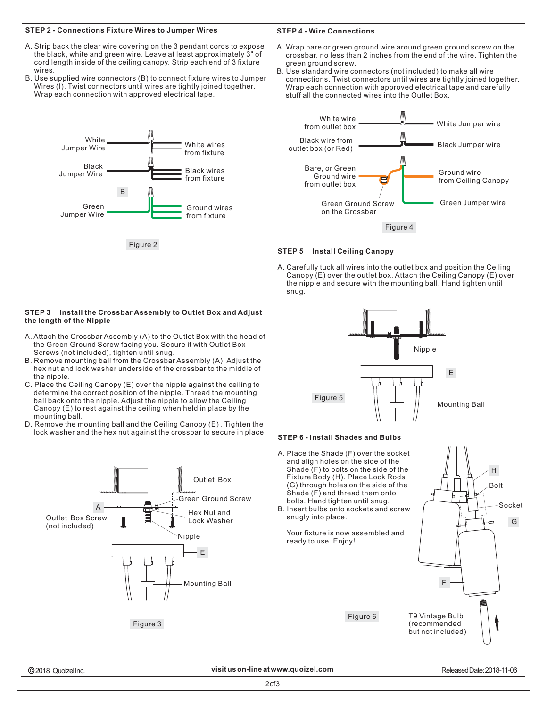

2of3